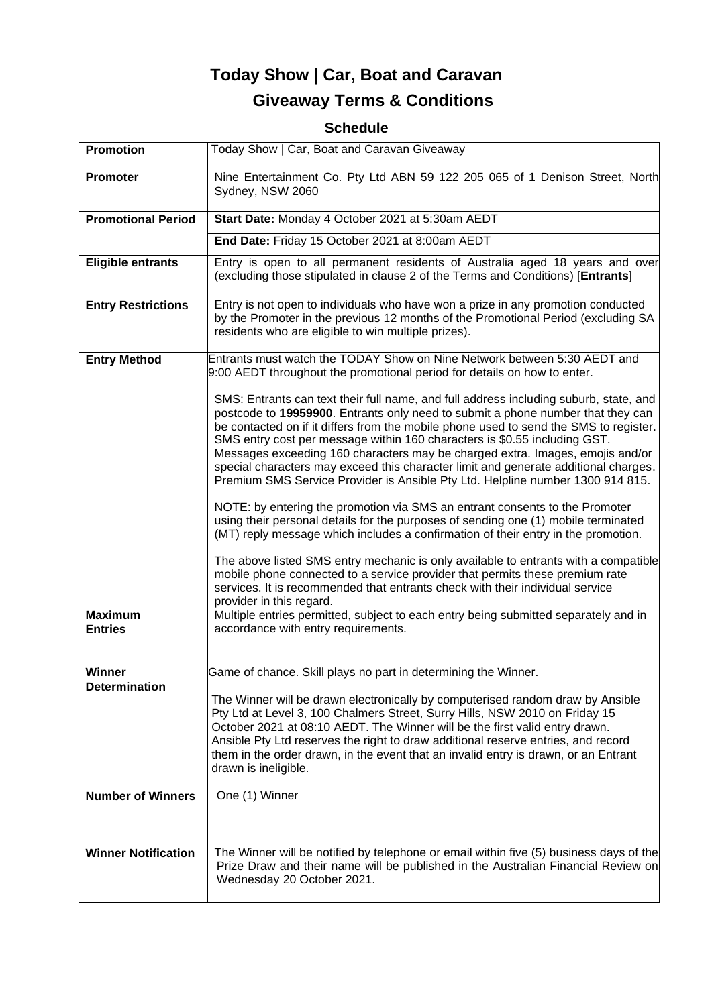# **Today Show | Car, Boat and Caravan Giveaway Terms & Conditions**

# **Schedule**

| <b>Promotion</b>                 | Today Show   Car, Boat and Caravan Giveaway                                                                                                                                                                                                                                                                                                                                                                                                                                                                                                                                                              |
|----------------------------------|----------------------------------------------------------------------------------------------------------------------------------------------------------------------------------------------------------------------------------------------------------------------------------------------------------------------------------------------------------------------------------------------------------------------------------------------------------------------------------------------------------------------------------------------------------------------------------------------------------|
| Promoter                         | Nine Entertainment Co. Pty Ltd ABN 59 122 205 065 of 1 Denison Street, North<br>Sydney, NSW 2060                                                                                                                                                                                                                                                                                                                                                                                                                                                                                                         |
| <b>Promotional Period</b>        | Start Date: Monday 4 October 2021 at 5:30am AEDT                                                                                                                                                                                                                                                                                                                                                                                                                                                                                                                                                         |
|                                  | End Date: Friday 15 October 2021 at 8:00am AEDT                                                                                                                                                                                                                                                                                                                                                                                                                                                                                                                                                          |
| <b>Eligible entrants</b>         | Entry is open to all permanent residents of Australia aged 18 years and over<br>(excluding those stipulated in clause 2 of the Terms and Conditions) [Entrants]                                                                                                                                                                                                                                                                                                                                                                                                                                          |
| <b>Entry Restrictions</b>        | Entry is not open to individuals who have won a prize in any promotion conducted<br>by the Promoter in the previous 12 months of the Promotional Period (excluding SA<br>residents who are eligible to win multiple prizes).                                                                                                                                                                                                                                                                                                                                                                             |
| <b>Entry Method</b>              | Entrants must watch the TODAY Show on Nine Network between 5:30 AEDT and<br>9:00 AEDT throughout the promotional period for details on how to enter.                                                                                                                                                                                                                                                                                                                                                                                                                                                     |
|                                  | SMS: Entrants can text their full name, and full address including suburb, state, and<br>postcode to 19959900. Entrants only need to submit a phone number that they can<br>be contacted on if it differs from the mobile phone used to send the SMS to register.<br>SMS entry cost per message within 160 characters is \$0.55 including GST.<br>Messages exceeding 160 characters may be charged extra. Images, emojis and/or<br>special characters may exceed this character limit and generate additional charges.<br>Premium SMS Service Provider is Ansible Pty Ltd. Helpline number 1300 914 815. |
|                                  | NOTE: by entering the promotion via SMS an entrant consents to the Promoter<br>using their personal details for the purposes of sending one (1) mobile terminated<br>(MT) reply message which includes a confirmation of their entry in the promotion.                                                                                                                                                                                                                                                                                                                                                   |
|                                  | The above listed SMS entry mechanic is only available to entrants with a compatible<br>mobile phone connected to a service provider that permits these premium rate<br>services. It is recommended that entrants check with their individual service<br>provider in this regard.                                                                                                                                                                                                                                                                                                                         |
| <b>Maximum</b><br><b>Entries</b> | Multiple entries permitted, subject to each entry being submitted separately and in<br>accordance with entry requirements.                                                                                                                                                                                                                                                                                                                                                                                                                                                                               |
| Winner                           | Game of chance. Skill plays no part in determining the Winner.                                                                                                                                                                                                                                                                                                                                                                                                                                                                                                                                           |
| <b>Determination</b>             | The Winner will be drawn electronically by computerised random draw by Ansible<br>Pty Ltd at Level 3, 100 Chalmers Street, Surry Hills, NSW 2010 on Friday 15<br>October 2021 at 08:10 AEDT. The Winner will be the first valid entry drawn.<br>Ansible Pty Ltd reserves the right to draw additional reserve entries, and record<br>them in the order drawn, in the event that an invalid entry is drawn, or an Entrant<br>drawn is ineligible.                                                                                                                                                         |
| <b>Number of Winners</b>         | One (1) Winner                                                                                                                                                                                                                                                                                                                                                                                                                                                                                                                                                                                           |
| <b>Winner Notification</b>       | The Winner will be notified by telephone or email within five (5) business days of the<br>Prize Draw and their name will be published in the Australian Financial Review on<br>Wednesday 20 October 2021.                                                                                                                                                                                                                                                                                                                                                                                                |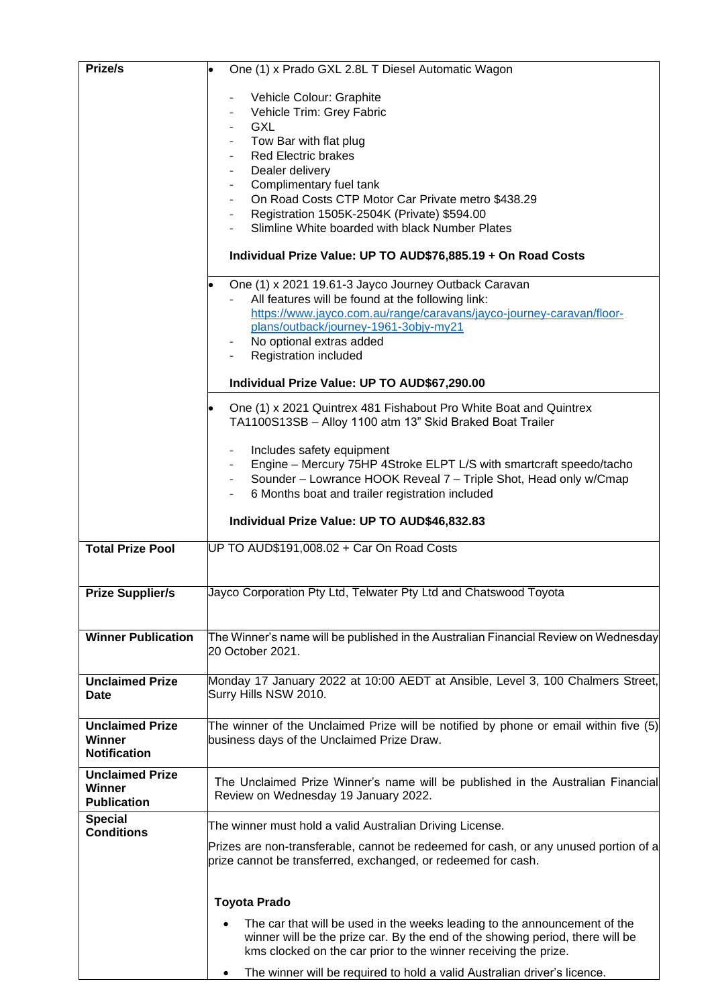| Prize/s                             | One (1) x Prado GXL 2.8L T Diesel Automatic Wagon                                                                                                                                                                             |
|-------------------------------------|-------------------------------------------------------------------------------------------------------------------------------------------------------------------------------------------------------------------------------|
|                                     | Vehicle Colour: Graphite                                                                                                                                                                                                      |
|                                     | Vehicle Trim: Grey Fabric                                                                                                                                                                                                     |
|                                     | <b>GXL</b>                                                                                                                                                                                                                    |
|                                     | Tow Bar with flat plug                                                                                                                                                                                                        |
|                                     | <b>Red Electric brakes</b>                                                                                                                                                                                                    |
|                                     | Dealer delivery                                                                                                                                                                                                               |
|                                     | Complimentary fuel tank                                                                                                                                                                                                       |
|                                     | On Road Costs CTP Motor Car Private metro \$438.29                                                                                                                                                                            |
|                                     | Registration 1505K-2504K (Private) \$594.00                                                                                                                                                                                   |
|                                     | Slimline White boarded with black Number Plates                                                                                                                                                                               |
|                                     | Individual Prize Value: UP TO AUD\$76,885.19 + On Road Costs                                                                                                                                                                  |
|                                     | One (1) x 2021 19.61-3 Jayco Journey Outback Caravan                                                                                                                                                                          |
|                                     | All features will be found at the following link:                                                                                                                                                                             |
|                                     | https://www.jayco.com.au/range/caravans/jayco-journey-caravan/floor-                                                                                                                                                          |
|                                     | plans/outback/journey-1961-3objy-my21                                                                                                                                                                                         |
|                                     | No optional extras added                                                                                                                                                                                                      |
|                                     | Registration included                                                                                                                                                                                                         |
|                                     | Individual Prize Value: UP TO AUD\$67,290.00                                                                                                                                                                                  |
|                                     | One (1) x 2021 Quintrex 481 Fishabout Pro White Boat and Quintrex<br>TA1100S13SB - Alloy 1100 atm 13" Skid Braked Boat Trailer                                                                                                |
|                                     | Includes safety equipment                                                                                                                                                                                                     |
|                                     | Engine - Mercury 75HP 4Stroke ELPT L/S with smartcraft speedo/tacho                                                                                                                                                           |
|                                     | Sounder - Lowrance HOOK Reveal 7 - Triple Shot, Head only w/Cmap                                                                                                                                                              |
|                                     | 6 Months boat and trailer registration included                                                                                                                                                                               |
|                                     |                                                                                                                                                                                                                               |
|                                     | Individual Prize Value: UP TO AUD\$46,832.83                                                                                                                                                                                  |
| <b>Total Prize Pool</b>             | UP TO AUD\$191,008.02 + Car On Road Costs                                                                                                                                                                                     |
| <b>Prize Supplier/s</b>             | Jayco Corporation Pty Ltd, Telwater Pty Ltd and Chatswood Toyota                                                                                                                                                              |
|                                     |                                                                                                                                                                                                                               |
| <b>Winner Publication</b>           | The Winner's name will be published in the Australian Financial Review on Wednesday<br>20 October 2021.                                                                                                                       |
| <b>Unclaimed Prize</b>              | Monday 17 January 2022 at 10:00 AEDT at Ansible, Level 3, 100 Chalmers Street,                                                                                                                                                |
| <b>Date</b>                         | Surry Hills NSW 2010.                                                                                                                                                                                                         |
|                                     |                                                                                                                                                                                                                               |
| <b>Unclaimed Prize</b>              | The winner of the Unclaimed Prize will be notified by phone or email within five (5)                                                                                                                                          |
| Winner                              | business days of the Unclaimed Prize Draw.                                                                                                                                                                                    |
| <b>Notification</b>                 |                                                                                                                                                                                                                               |
| <b>Unclaimed Prize</b>              |                                                                                                                                                                                                                               |
| Winner                              | The Unclaimed Prize Winner's name will be published in the Australian Financial<br>Review on Wednesday 19 January 2022.                                                                                                       |
| <b>Publication</b>                  |                                                                                                                                                                                                                               |
| <b>Special</b><br><b>Conditions</b> | The winner must hold a valid Australian Driving License.                                                                                                                                                                      |
|                                     | Prizes are non-transferable, cannot be redeemed for cash, or any unused portion of a                                                                                                                                          |
|                                     | prize cannot be transferred, exchanged, or redeemed for cash.                                                                                                                                                                 |
|                                     | <b>Toyota Prado</b>                                                                                                                                                                                                           |
|                                     |                                                                                                                                                                                                                               |
|                                     | The car that will be used in the weeks leading to the announcement of the<br>winner will be the prize car. By the end of the showing period, there will be<br>kms clocked on the car prior to the winner receiving the prize. |
|                                     | The winner will be required to hold a valid Australian driver's licence.                                                                                                                                                      |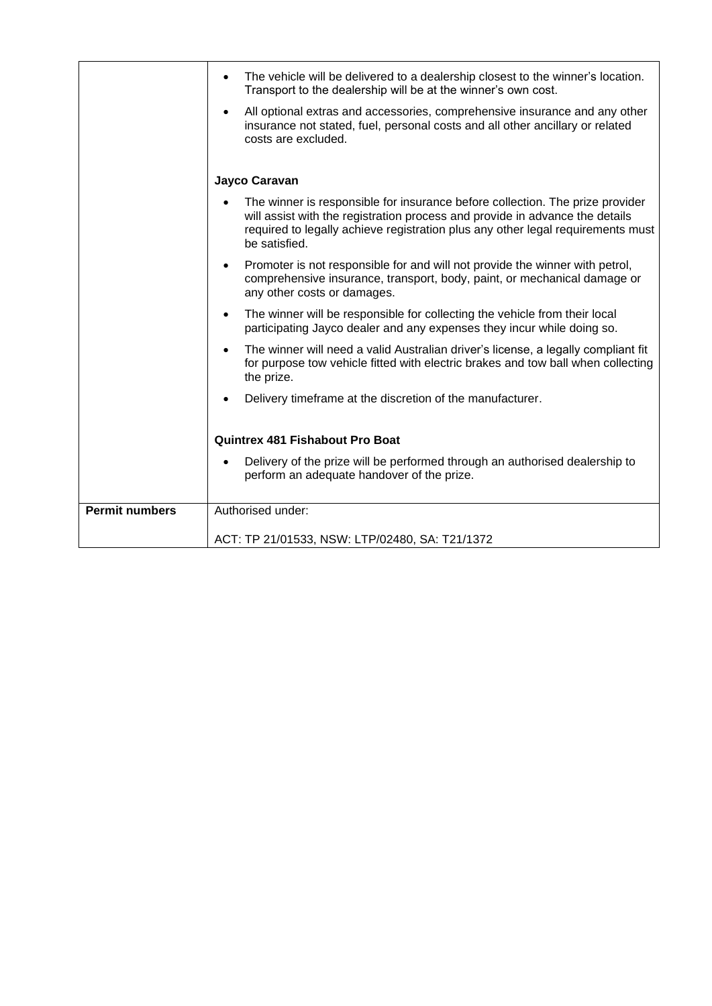|                       | The vehicle will be delivered to a dealership closest to the winner's location.<br>Transport to the dealership will be at the winner's own cost.                                                                                                                  |
|-----------------------|-------------------------------------------------------------------------------------------------------------------------------------------------------------------------------------------------------------------------------------------------------------------|
|                       | All optional extras and accessories, comprehensive insurance and any other<br>insurance not stated, fuel, personal costs and all other ancillary or related<br>costs are excluded.                                                                                |
|                       | Jayco Caravan                                                                                                                                                                                                                                                     |
|                       | The winner is responsible for insurance before collection. The prize provider<br>will assist with the registration process and provide in advance the details<br>required to legally achieve registration plus any other legal requirements must<br>be satisfied. |
|                       | Promoter is not responsible for and will not provide the winner with petrol,<br>$\bullet$<br>comprehensive insurance, transport, body, paint, or mechanical damage or<br>any other costs or damages.                                                              |
|                       | The winner will be responsible for collecting the vehicle from their local<br>$\bullet$<br>participating Jayco dealer and any expenses they incur while doing so.                                                                                                 |
|                       | The winner will need a valid Australian driver's license, a legally compliant fit<br>$\bullet$<br>for purpose tow vehicle fitted with electric brakes and tow ball when collecting<br>the prize.                                                                  |
|                       | Delivery timeframe at the discretion of the manufacturer.                                                                                                                                                                                                         |
|                       | <b>Quintrex 481 Fishabout Pro Boat</b>                                                                                                                                                                                                                            |
|                       | Delivery of the prize will be performed through an authorised dealership to<br>perform an adequate handover of the prize.                                                                                                                                         |
| <b>Permit numbers</b> | Authorised under:                                                                                                                                                                                                                                                 |
|                       | ACT: TP 21/01533, NSW: LTP/02480, SA: T21/1372                                                                                                                                                                                                                    |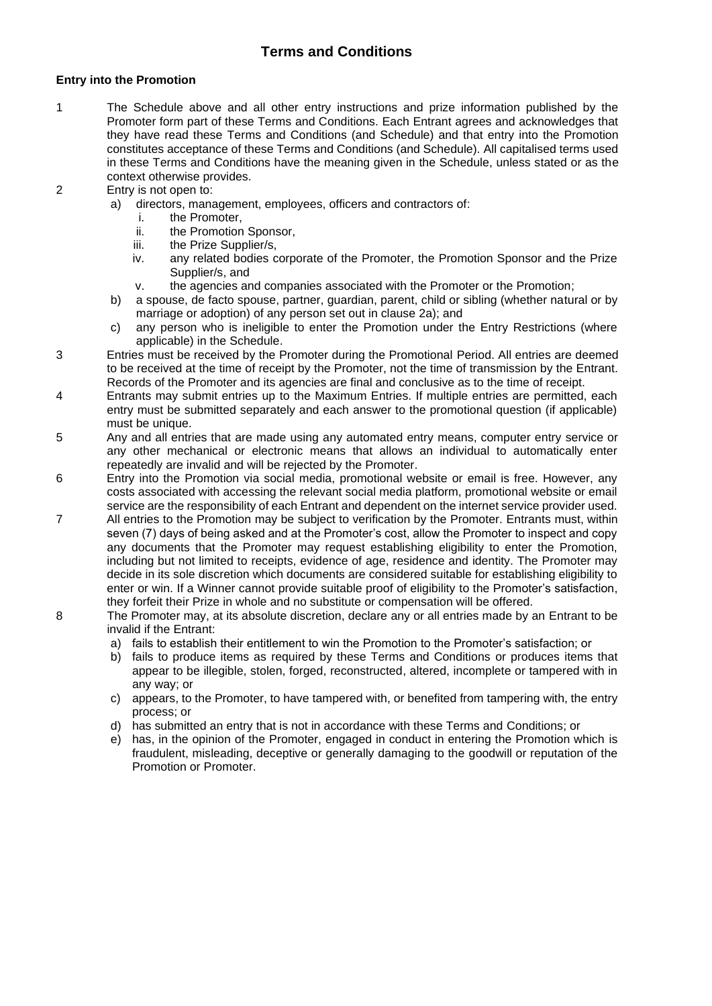# **Terms and Conditions**

## **Entry into the Promotion**

- 1 The Schedule above and all other entry instructions and prize information published by the Promoter form part of these Terms and Conditions. Each Entrant agrees and acknowledges that they have read these Terms and Conditions (and Schedule) and that entry into the Promotion constitutes acceptance of these Terms and Conditions (and Schedule). All capitalised terms used in these Terms and Conditions have the meaning given in the Schedule, unless stated or as the context otherwise provides.
- 2 Entry is not open to:
	- a) directors, management, employees, officers and contractors of:
		- i. the Promoter,
		- ii. the Promotion Sponsor,<br>iii. the Prize Supplier/s.
		- the Prize Supplier/s.
		- iv. any related bodies corporate of the Promoter, the Promotion Sponsor and the Prize Supplier/s, and
		- v. the agencies and companies associated with the Promoter or the Promotion;
	- b) a spouse, de facto spouse, partner, guardian, parent, child or sibling (whether natural or by marriage or adoption) of any person set out in clause 2a); and
	- c) any person who is ineligible to enter the Promotion under the Entry Restrictions (where applicable) in the Schedule.
- 3 Entries must be received by the Promoter during the Promotional Period. All entries are deemed to be received at the time of receipt by the Promoter, not the time of transmission by the Entrant. Records of the Promoter and its agencies are final and conclusive as to the time of receipt.
- 4 Entrants may submit entries up to the Maximum Entries. If multiple entries are permitted, each entry must be submitted separately and each answer to the promotional question (if applicable) must be unique.
- 5 Any and all entries that are made using any automated entry means, computer entry service or any other mechanical or electronic means that allows an individual to automatically enter repeatedly are invalid and will be rejected by the Promoter.
- 6 Entry into the Promotion via social media, promotional website or email is free. However, any costs associated with accessing the relevant social media platform, promotional website or email service are the responsibility of each Entrant and dependent on the internet service provider used.
- 7 All entries to the Promotion may be subject to verification by the Promoter. Entrants must, within seven (7) days of being asked and at the Promoter's cost, allow the Promoter to inspect and copy any documents that the Promoter may request establishing eligibility to enter the Promotion, including but not limited to receipts, evidence of age, residence and identity. The Promoter may decide in its sole discretion which documents are considered suitable for establishing eligibility to enter or win. If a Winner cannot provide suitable proof of eligibility to the Promoter's satisfaction, they forfeit their Prize in whole and no substitute or compensation will be offered.
- 8 The Promoter may, at its absolute discretion, declare any or all entries made by an Entrant to be invalid if the Entrant:
	- a) fails to establish their entitlement to win the Promotion to the Promoter's satisfaction; or
	- b) fails to produce items as required by these Terms and Conditions or produces items that appear to be illegible, stolen, forged, reconstructed, altered, incomplete or tampered with in any way; or
	- c) appears, to the Promoter, to have tampered with, or benefited from tampering with, the entry process; or
	- d) has submitted an entry that is not in accordance with these Terms and Conditions; or
	- e) has, in the opinion of the Promoter, engaged in conduct in entering the Promotion which is fraudulent, misleading, deceptive or generally damaging to the goodwill or reputation of the Promotion or Promoter.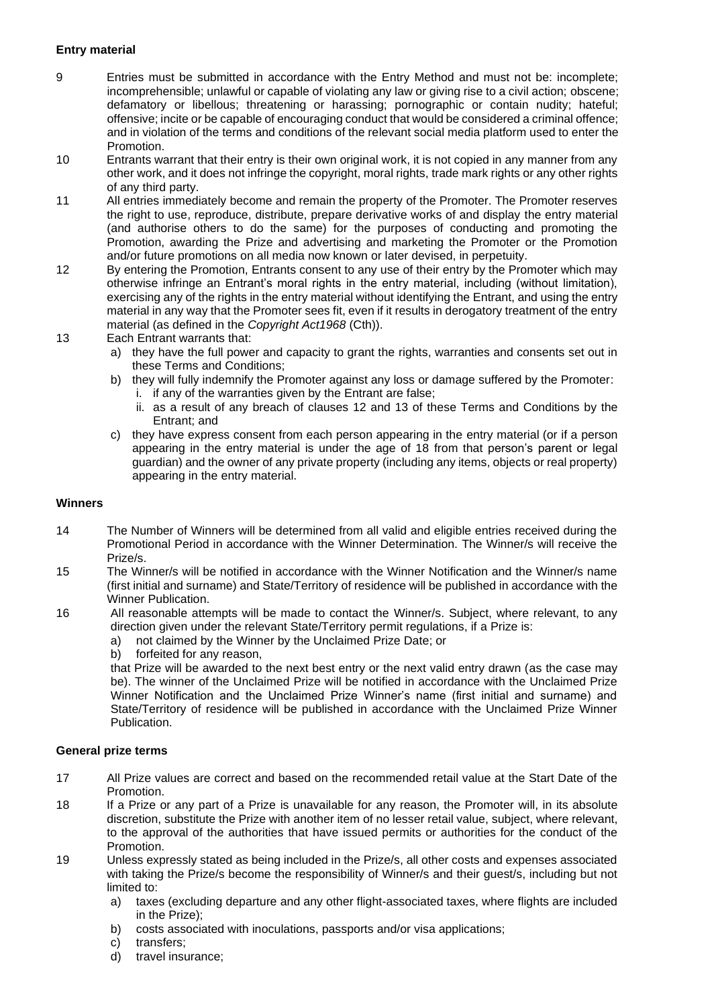# **Entry material**

- 9 Entries must be submitted in accordance with the Entry Method and must not be: incomplete; incomprehensible; unlawful or capable of violating any law or giving rise to a civil action; obscene; defamatory or libellous; threatening or harassing; pornographic or contain nudity; hateful; offensive; incite or be capable of encouraging conduct that would be considered a criminal offence; and in violation of the terms and conditions of the relevant social media platform used to enter the Promotion.
- 10 Entrants warrant that their entry is their own original work, it is not copied in any manner from any other work, and it does not infringe the copyright, moral rights, trade mark rights or any other rights of any third party.
- 11 All entries immediately become and remain the property of the Promoter. The Promoter reserves the right to use, reproduce, distribute, prepare derivative works of and display the entry material (and authorise others to do the same) for the purposes of conducting and promoting the Promotion, awarding the Prize and advertising and marketing the Promoter or the Promotion and/or future promotions on all media now known or later devised, in perpetuity.
- 12 By entering the Promotion, Entrants consent to any use of their entry by the Promoter which may otherwise infringe an Entrant's moral rights in the entry material, including (without limitation), exercising any of the rights in the entry material without identifying the Entrant, and using the entry material in any way that the Promoter sees fit, even if it results in derogatory treatment of the entry material (as defined in the *Copyright Act1968* (Cth)).
- 13 Each Entrant warrants that:
	- a) they have the full power and capacity to grant the rights, warranties and consents set out in these Terms and Conditions;
	- b) they will fully indemnify the Promoter against any loss or damage suffered by the Promoter: i. if any of the warranties given by the Entrant are false;
		- ii. as a result of any breach of clauses 12 and 13 of these Terms and Conditions by the Entrant; and
	- c) they have express consent from each person appearing in the entry material (or if a person appearing in the entry material is under the age of 18 from that person's parent or legal guardian) and the owner of any private property (including any items, objects or real property) appearing in the entry material.

#### **Winners**

- 14 The Number of Winners will be determined from all valid and eligible entries received during the Promotional Period in accordance with the Winner Determination. The Winner/s will receive the Prize/s.
- 15 The Winner/s will be notified in accordance with the Winner Notification and the Winner/s name (first initial and surname) and State/Territory of residence will be published in accordance with the Winner Publication.
- 16 All reasonable attempts will be made to contact the Winner/s. Subject, where relevant, to any direction given under the relevant State/Territory permit regulations, if a Prize is:
	- a) not claimed by the Winner by the Unclaimed Prize Date; or
	- b) forfeited for any reason,

that Prize will be awarded to the next best entry or the next valid entry drawn (as the case may be). The winner of the Unclaimed Prize will be notified in accordance with the Unclaimed Prize Winner Notification and the Unclaimed Prize Winner's name (first initial and surname) and State/Territory of residence will be published in accordance with the Unclaimed Prize Winner Publication.

#### **General prize terms**

- 17 All Prize values are correct and based on the recommended retail value at the Start Date of the Promotion.
- 18 If a Prize or any part of a Prize is unavailable for any reason, the Promoter will, in its absolute discretion, substitute the Prize with another item of no lesser retail value, subject, where relevant, to the approval of the authorities that have issued permits or authorities for the conduct of the Promotion.
- 19 Unless expressly stated as being included in the Prize/s, all other costs and expenses associated with taking the Prize/s become the responsibility of Winner/s and their guest/s, including but not limited to:
	- a) taxes (excluding departure and any other flight-associated taxes, where flights are included in the Prize);
	- b) costs associated with inoculations, passports and/or visa applications;
	- c) transfers;
	- d) travel insurance;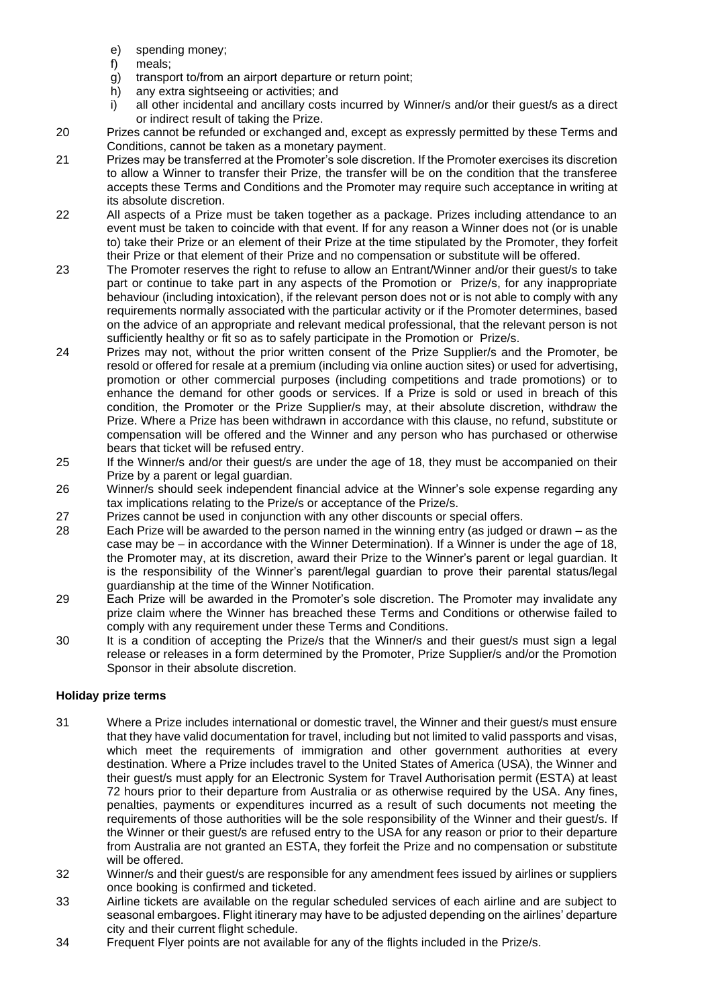- e) spending money;
- 
- f) meals;<br>g) transpo transport to/from an airport departure or return point;
- h) any extra sightseeing or activities; and
- i) all other incidental and ancillary costs incurred by Winner/s and/or their guest/s as a direct or indirect result of taking the Prize.
- 20 Prizes cannot be refunded or exchanged and, except as expressly permitted by these Terms and Conditions, cannot be taken as a monetary payment.
- 21 Prizes may be transferred at the Promoter's sole discretion. If the Promoter exercises its discretion to allow a Winner to transfer their Prize, the transfer will be on the condition that the transferee accepts these Terms and Conditions and the Promoter may require such acceptance in writing at its absolute discretion.
- 22 All aspects of a Prize must be taken together as a package. Prizes including attendance to an event must be taken to coincide with that event. If for any reason a Winner does not (or is unable to) take their Prize or an element of their Prize at the time stipulated by the Promoter, they forfeit their Prize or that element of their Prize and no compensation or substitute will be offered.
- 23 The Promoter reserves the right to refuse to allow an Entrant/Winner and/or their guest/s to take part or continue to take part in any aspects of the Promotion or Prize/s, for any inappropriate behaviour (including intoxication), if the relevant person does not or is not able to comply with any requirements normally associated with the particular activity or if the Promoter determines, based on the advice of an appropriate and relevant medical professional, that the relevant person is not sufficiently healthy or fit so as to safely participate in the Promotion or Prize/s.
- 24 Prizes may not, without the prior written consent of the Prize Supplier/s and the Promoter, be resold or offered for resale at a premium (including via online auction sites) or used for advertising, promotion or other commercial purposes (including competitions and trade promotions) or to enhance the demand for other goods or services. If a Prize is sold or used in breach of this condition, the Promoter or the Prize Supplier/s may, at their absolute discretion, withdraw the Prize. Where a Prize has been withdrawn in accordance with this clause, no refund, substitute or compensation will be offered and the Winner and any person who has purchased or otherwise bears that ticket will be refused entry.
- 25 If the Winner/s and/or their guest/s are under the age of 18, they must be accompanied on their Prize by a parent or legal guardian.
- 26 Winner/s should seek independent financial advice at the Winner's sole expense regarding any tax implications relating to the Prize/s or acceptance of the Prize/s.
- 27 Prizes cannot be used in conjunction with any other discounts or special offers.
- 28 Each Prize will be awarded to the person named in the winning entry (as judged or drawn as the case may be – in accordance with the Winner Determination). If a Winner is under the age of 18, the Promoter may, at its discretion, award their Prize to the Winner's parent or legal guardian. It is the responsibility of the Winner's parent/legal guardian to prove their parental status/legal guardianship at the time of the Winner Notification.
- 29 Each Prize will be awarded in the Promoter's sole discretion. The Promoter may invalidate any prize claim where the Winner has breached these Terms and Conditions or otherwise failed to comply with any requirement under these Terms and Conditions.
- 30 It is a condition of accepting the Prize/s that the Winner/s and their guest/s must sign a legal release or releases in a form determined by the Promoter, Prize Supplier/s and/or the Promotion Sponsor in their absolute discretion.

## **Holiday prize terms**

- 31 Where a Prize includes international or domestic travel, the Winner and their guest/s must ensure that they have valid documentation for travel, including but not limited to valid passports and visas, which meet the requirements of immigration and other government authorities at every destination. Where a Prize includes travel to the United States of America (USA), the Winner and their guest/s must apply for an Electronic System for Travel Authorisation permit (ESTA) at least 72 hours prior to their departure from Australia or as otherwise required by the USA. Any fines, penalties, payments or expenditures incurred as a result of such documents not meeting the requirements of those authorities will be the sole responsibility of the Winner and their guest/s. If the Winner or their guest/s are refused entry to the USA for any reason or prior to their departure from Australia are not granted an ESTA, they forfeit the Prize and no compensation or substitute will be offered.
- 32 Winner/s and their guest/s are responsible for any amendment fees issued by airlines or suppliers once booking is confirmed and ticketed.
- 33 Airline tickets are available on the regular scheduled services of each airline and are subject to seasonal embargoes. Flight itinerary may have to be adjusted depending on the airlines' departure city and their current flight schedule.
- 34 Frequent Flyer points are not available for any of the flights included in the Prize/s.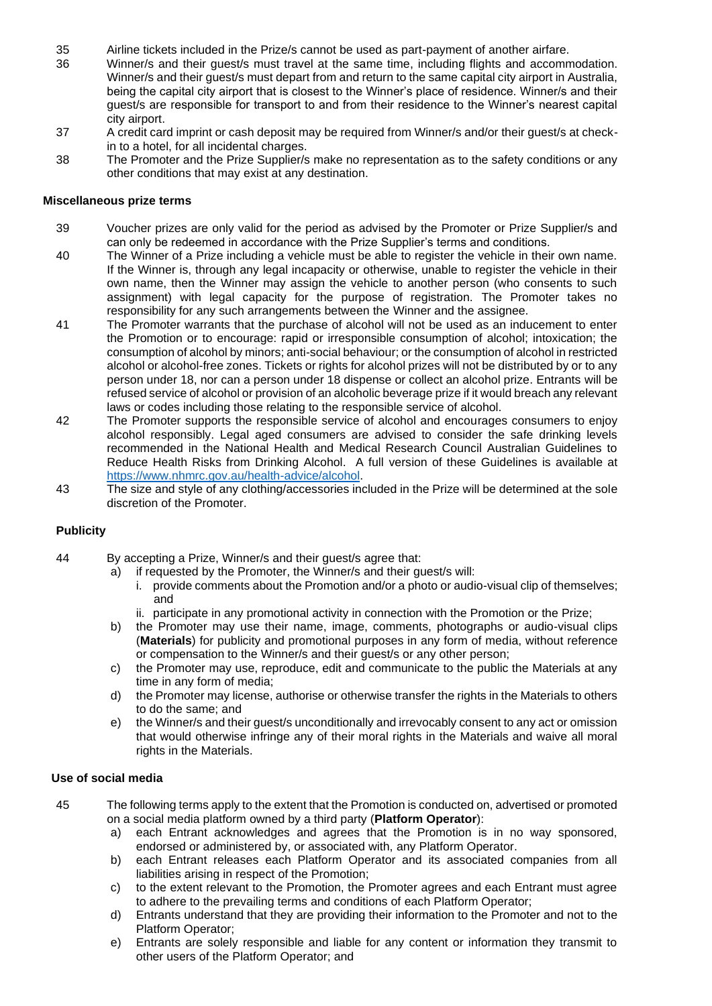- 35 Airline tickets included in the Prize/s cannot be used as part-payment of another airfare.
- 36 Winner/s and their guest/s must travel at the same time, including flights and accommodation. Winner/s and their guest/s must depart from and return to the same capital city airport in Australia, being the capital city airport that is closest to the Winner's place of residence. Winner/s and their guest/s are responsible for transport to and from their residence to the Winner's nearest capital city airport.
- 37 A credit card imprint or cash deposit may be required from Winner/s and/or their guest/s at checkin to a hotel, for all incidental charges.
- 38 The Promoter and the Prize Supplier/s make no representation as to the safety conditions or any other conditions that may exist at any destination.

#### **Miscellaneous prize terms**

- 39 Voucher prizes are only valid for the period as advised by the Promoter or Prize Supplier/s and can only be redeemed in accordance with the Prize Supplier's terms and conditions.
- 40 The Winner of a Prize including a vehicle must be able to register the vehicle in their own name. If the Winner is, through any legal incapacity or otherwise, unable to register the vehicle in their own name, then the Winner may assign the vehicle to another person (who consents to such assignment) with legal capacity for the purpose of registration. The Promoter takes no responsibility for any such arrangements between the Winner and the assignee.
- 41 The Promoter warrants that the purchase of alcohol will not be used as an inducement to enter the Promotion or to encourage: rapid or irresponsible consumption of alcohol; intoxication; the consumption of alcohol by minors; anti-social behaviour; or the consumption of alcohol in restricted alcohol or alcohol-free zones. Tickets or rights for alcohol prizes will not be distributed by or to any person under 18, nor can a person under 18 dispense or collect an alcohol prize. Entrants will be refused service of alcohol or provision of an alcoholic beverage prize if it would breach any relevant laws or codes including those relating to the responsible service of alcohol.
- 42 The Promoter supports the responsible service of alcohol and encourages consumers to enjoy alcohol responsibly. Legal aged consumers are advised to consider the safe drinking levels recommended in the National Health and Medical Research Council Australian Guidelines to Reduce Health Risks from Drinking Alcohol. A full version of these Guidelines is available at [https://www.nhmrc.gov.au/health-advice/alcohol.](https://www.nhmrc.gov.au/health-advice/alcohol)
- 43 The size and style of any clothing/accessories included in the Prize will be determined at the sole discretion of the Promoter.

#### **Publicity**

- 44 By accepting a Prize, Winner/s and their guest/s agree that:
	- a) if requested by the Promoter, the Winner/s and their guest/s will:
		- i. provide comments about the Promotion and/or a photo or audio-visual clip of themselves; and
		- ii. participate in any promotional activity in connection with the Promotion or the Prize;
	- b) the Promoter may use their name, image, comments, photographs or audio-visual clips (**Materials**) for publicity and promotional purposes in any form of media, without reference or compensation to the Winner/s and their guest/s or any other person;
	- c) the Promoter may use, reproduce, edit and communicate to the public the Materials at any time in any form of media;
	- d) the Promoter may license, authorise or otherwise transfer the rights in the Materials to others to do the same; and
	- e) the Winner/s and their guest/s unconditionally and irrevocably consent to any act or omission that would otherwise infringe any of their moral rights in the Materials and waive all moral rights in the Materials.

#### **Use of social media**

- 45 The following terms apply to the extent that the Promotion is conducted on, advertised or promoted on a social media platform owned by a third party (**Platform Operator**):
	- a) each Entrant acknowledges and agrees that the Promotion is in no way sponsored, endorsed or administered by, or associated with, any Platform Operator.
	- b) each Entrant releases each Platform Operator and its associated companies from all liabilities arising in respect of the Promotion;
	- c) to the extent relevant to the Promotion, the Promoter agrees and each Entrant must agree to adhere to the prevailing terms and conditions of each Platform Operator;
	- d) Entrants understand that they are providing their information to the Promoter and not to the Platform Operator;
	- e) Entrants are solely responsible and liable for any content or information they transmit to other users of the Platform Operator; and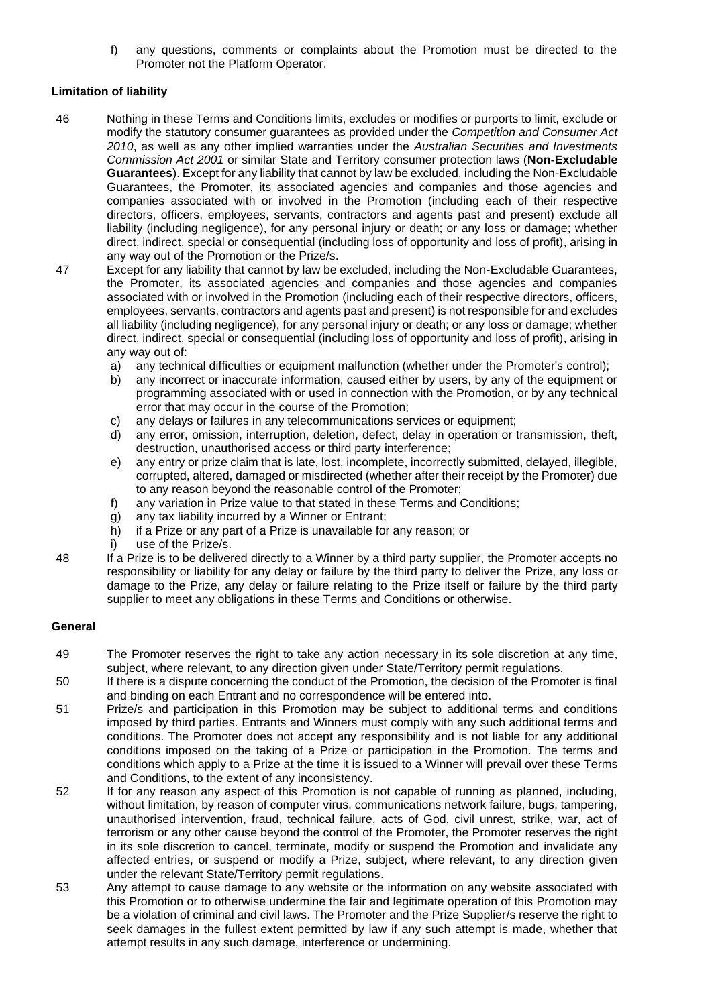f) any questions, comments or complaints about the Promotion must be directed to the Promoter not the Platform Operator.

#### **Limitation of liability**

- 46 Nothing in these Terms and Conditions limits, excludes or modifies or purports to limit, exclude or modify the statutory consumer guarantees as provided under the *Competition and Consumer Act 2010*, as well as any other implied warranties under the *Australian Securities and Investments Commission Act 2001* or similar State and Territory consumer protection laws (**Non-Excludable Guarantees**). Except for any liability that cannot by law be excluded, including the Non-Excludable Guarantees, the Promoter, its associated agencies and companies and those agencies and companies associated with or involved in the Promotion (including each of their respective directors, officers, employees, servants, contractors and agents past and present) exclude all liability (including negligence), for any personal injury or death; or any loss or damage; whether direct, indirect, special or consequential (including loss of opportunity and loss of profit), arising in any way out of the Promotion or the Prize/s.
- 47 Except for any liability that cannot by law be excluded, including the Non-Excludable Guarantees, the Promoter, its associated agencies and companies and those agencies and companies associated with or involved in the Promotion (including each of their respective directors, officers, employees, servants, contractors and agents past and present) is not responsible for and excludes all liability (including negligence), for any personal injury or death; or any loss or damage; whether direct, indirect, special or consequential (including loss of opportunity and loss of profit), arising in any way out of:
	- a) any technical difficulties or equipment malfunction (whether under the Promoter's control);
	- b) any incorrect or inaccurate information, caused either by users, by any of the equipment or programming associated with or used in connection with the Promotion, or by any technical error that may occur in the course of the Promotion;
	- c) any delays or failures in any telecommunications services or equipment;
	- d) any error, omission, interruption, deletion, defect, delay in operation or transmission, theft, destruction, unauthorised access or third party interference;
	- e) any entry or prize claim that is late, lost, incomplete, incorrectly submitted, delayed, illegible, corrupted, altered, damaged or misdirected (whether after their receipt by the Promoter) due to any reason beyond the reasonable control of the Promoter;
	- f) any variation in Prize value to that stated in these Terms and Conditions;
	- g) any tax liability incurred by a Winner or Entrant;
	- h) if a Prize or any part of a Prize is unavailable for any reason; or
	- i) use of the Prize/s.
- 48 If a Prize is to be delivered directly to a Winner by a third party supplier, the Promoter accepts no responsibility or liability for any delay or failure by the third party to deliver the Prize, any loss or damage to the Prize, any delay or failure relating to the Prize itself or failure by the third party supplier to meet any obligations in these Terms and Conditions or otherwise.

#### **General**

- 49 The Promoter reserves the right to take any action necessary in its sole discretion at any time, subject, where relevant, to any direction given under State/Territory permit regulations.
- 50 If there is a dispute concerning the conduct of the Promotion, the decision of the Promoter is final and binding on each Entrant and no correspondence will be entered into.
- 51 Prize/s and participation in this Promotion may be subject to additional terms and conditions imposed by third parties. Entrants and Winners must comply with any such additional terms and conditions. The Promoter does not accept any responsibility and is not liable for any additional conditions imposed on the taking of a Prize or participation in the Promotion. The terms and conditions which apply to a Prize at the time it is issued to a Winner will prevail over these Terms and Conditions, to the extent of any inconsistency.
- 52 If for any reason any aspect of this Promotion is not capable of running as planned, including, without limitation, by reason of computer virus, communications network failure, bugs, tampering, unauthorised intervention, fraud, technical failure, acts of God, civil unrest, strike, war, act of terrorism or any other cause beyond the control of the Promoter, the Promoter reserves the right in its sole discretion to cancel, terminate, modify or suspend the Promotion and invalidate any affected entries, or suspend or modify a Prize, subject, where relevant, to any direction given under the relevant State/Territory permit regulations.
- 53 Any attempt to cause damage to any website or the information on any website associated with this Promotion or to otherwise undermine the fair and legitimate operation of this Promotion may be a violation of criminal and civil laws. The Promoter and the Prize Supplier/s reserve the right to seek damages in the fullest extent permitted by law if any such attempt is made, whether that attempt results in any such damage, interference or undermining.